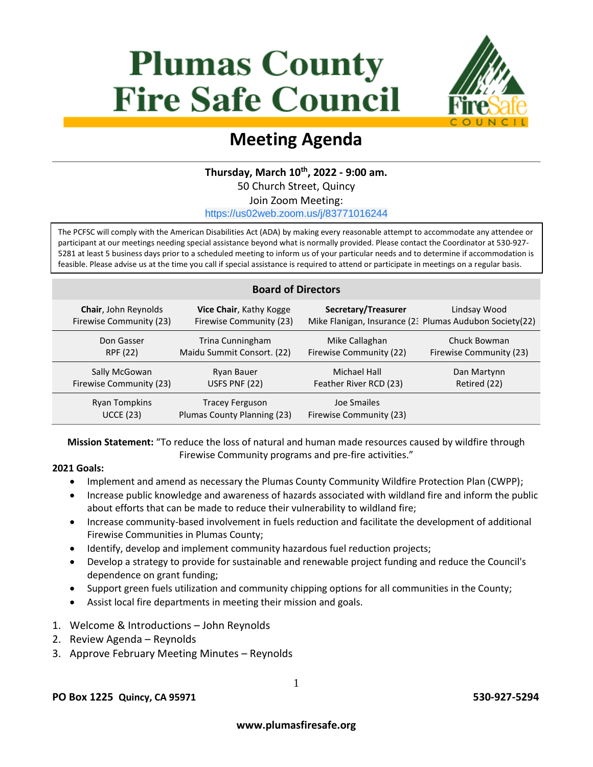# **Plumas County Fire Safe Council**



## **Meeting Agenda**

#### **Thursday, March 10 th, 2022 - 9:00 am.**

50 Church Street, Quincy

Join Zoom Meeting:

[https://us02web.zoom.us/j/83771016244](https://www.google.com/url?q=https://us02web.zoom.us/j/83771016244&sa=D&ust=1591628101580000&usg=AOvVaw0f6Nuq2tBMdUPvsVZityXl)

The PCFSC will comply with the American Disabilities Act (ADA) by making every reasonable attempt to accommodate any attendee or participant at our meetings needing special assistance beyond what is normally provided. Please contact the Coordinator at 530-927- 5281 at least 5 business days prior to a scheduled meeting to inform us of your particular needs and to determine if accommodation is feasible. Please advise us at the time you call if special assistance is required to attend or participate in meetings on a regular basis.

#### **Board of Directors Chair**, John Reynolds Firewise Community (23) **Vice Chair**, Kathy Kogge Firewise Community (23) **Secretary/Treasurer** Mike Flanigan, Insurance (23) Plumas Audubon Society(22) Lindsay Wood Don Gasser RPF (22) Trina Cunningham Maidu Summit Consort. (22) Mike Callaghan Firewise Community (22) Chuck Bowman Firewise Community (23) Sally McGowan Firewise Community (23) Ryan Bauer USFS PNF (22) Michael Hall Feather River RCD (23) Dan Martynn Retired (22) Ryan Tompkins UCCE (23) Tracey Ferguson Plumas County Planning (23) Joe Smailes Firewise Community (23)

**Mission Statement:** "To reduce the loss of natural and human made resources caused by wildfire through Firewise Community programs and pre-fire activities."

#### **2021 Goals:**

- Implement and amend as necessary the Plumas County Community Wildfire Protection Plan (CWPP);
- Increase public knowledge and awareness of hazards associated with wildland fire and inform the public about efforts that can be made to reduce their vulnerability to wildland fire;
- Increase community-based involvement in fuels reduction and facilitate the development of additional Firewise Communities in Plumas County;
- Identify, develop and implement community hazardous fuel reduction projects;
- Develop a strategy to provide for sustainable and renewable project funding and reduce the Council's dependence on grant funding;
- Support green fuels utilization and community chipping options for all communities in the County;
- Assist local fire departments in meeting their mission and goals.
- 1. Welcome & Introductions John Reynolds
- 2. Review Agenda Reynolds
- 3. Approve February Meeting Minutes Reynolds

#### **PO Box 1225 Quincy, CA 95971 530-927-5294**